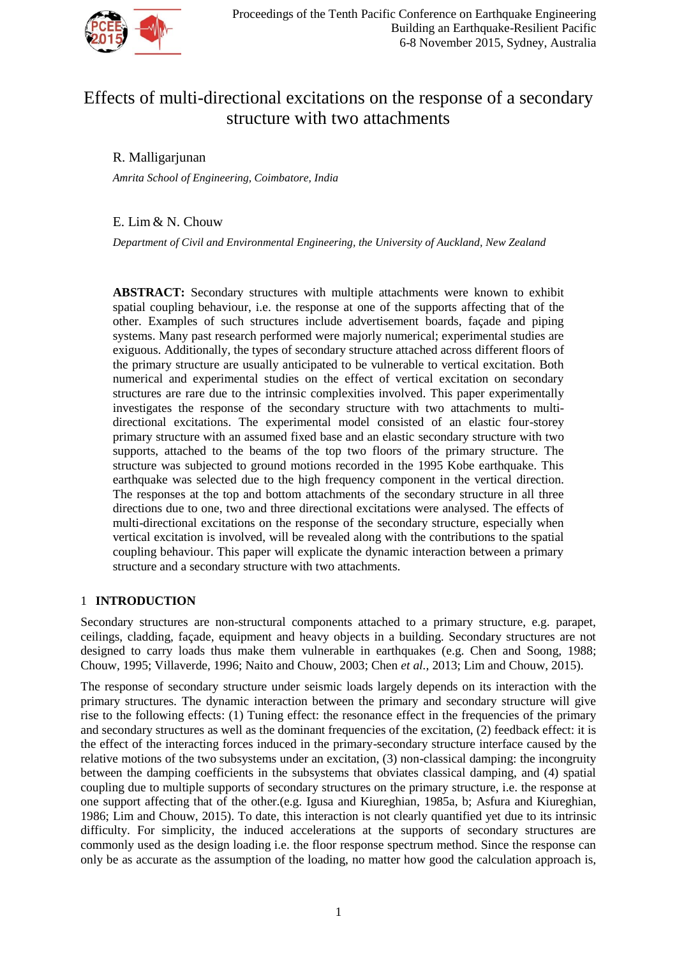

# Effects of multi-directional excitations on the response of a secondary structure with two attachments

# R. Malligarjunan

*Amrita School of Engineering, Coimbatore, India*

# E. Lim & N. Chouw

*Department of Civil and Environmental Engineering, the University of Auckland, New Zealand*

**ABSTRACT:** Secondary structures with multiple attachments were known to exhibit spatial coupling behaviour, i.e. the response at one of the supports affecting that of the other. Examples of such structures include advertisement boards, façade and piping systems. Many past research performed were majorly numerical; experimental studies are exiguous. Additionally, the types of secondary structure attached across different floors of the primary structure are usually anticipated to be vulnerable to vertical excitation. Both numerical and experimental studies on the effect of vertical excitation on secondary structures are rare due to the intrinsic complexities involved. This paper experimentally investigates the response of the secondary structure with two attachments to multidirectional excitations. The experimental model consisted of an elastic four-storey primary structure with an assumed fixed base and an elastic secondary structure with two supports, attached to the beams of the top two floors of the primary structure. The structure was subjected to ground motions recorded in the 1995 Kobe earthquake. This earthquake was selected due to the high frequency component in the vertical direction. The responses at the top and bottom attachments of the secondary structure in all three directions due to one, two and three directional excitations were analysed. The effects of multi-directional excitations on the response of the secondary structure, especially when vertical excitation is involved, will be revealed along with the contributions to the spatial coupling behaviour. This paper will explicate the dynamic interaction between a primary structure and a secondary structure with two attachments.

# 1 **INTRODUCTION**

Secondary structures are non-structural components attached to a primary structure, e.g. parapet, ceilings, cladding, façade, equipment and heavy objects in a building. Secondary structures are not designed to carry loads thus make them vulnerable in earthquakes (e.g. Chen and Soong, 1988; Chouw, 1995; Villaverde, 1996; Naito and Chouw, 2003; Chen *et al.,* 2013; Lim and Chouw, 2015).

The response of secondary structure under seismic loads largely depends on its interaction with the primary structures. The dynamic interaction between the primary and secondary structure will give rise to the following effects: (1) Tuning effect: the resonance effect in the frequencies of the primary and secondary structures as well as the dominant frequencies of the excitation, (2) feedback effect: it is the effect of the interacting forces induced in the primary-secondary structure interface caused by the relative motions of the two subsystems under an excitation, (3) non-classical damping: the incongruity between the damping coefficients in the subsystems that obviates classical damping, and (4) spatial coupling due to multiple supports of secondary structures on the primary structure, i.e. the response at one support affecting that of the other.(e.g. Igusa and Kiureghian, 1985a, b; Asfura and Kiureghian, 1986; Lim and Chouw, 2015). To date, this interaction is not clearly quantified yet due to its intrinsic difficulty. For simplicity, the induced accelerations at the supports of secondary structures are commonly used as the design loading i.e. the floor response spectrum method. Since the response can only be as accurate as the assumption of the loading, no matter how good the calculation approach is,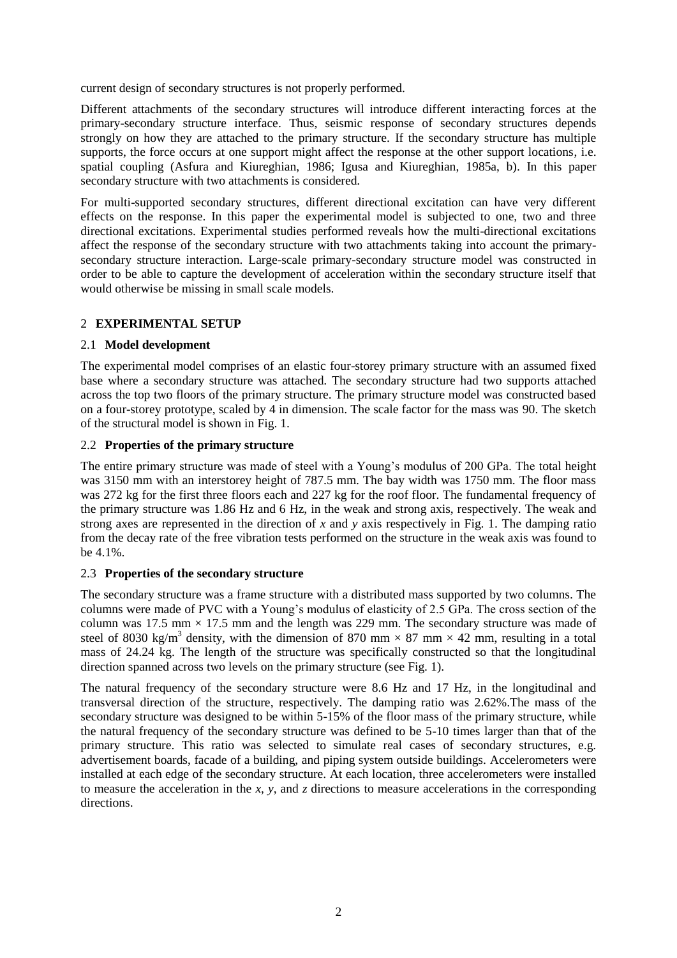current design of secondary structures is not properly performed.

Different attachments of the secondary structures will introduce different interacting forces at the primary-secondary structure interface. Thus, seismic response of secondary structures depends strongly on how they are attached to the primary structure. If the secondary structure has multiple supports, the force occurs at one support might affect the response at the other support locations, i.e. spatial coupling (Asfura and Kiureghian, 1986; Igusa and Kiureghian, 1985a, b). In this paper secondary structure with two attachments is considered.

For multi-supported secondary structures, different directional excitation can have very different effects on the response. In this paper the experimental model is subjected to one, two and three directional excitations. Experimental studies performed reveals how the multi-directional excitations affect the response of the secondary structure with two attachments taking into account the primarysecondary structure interaction. Large-scale primary-secondary structure model was constructed in order to be able to capture the development of acceleration within the secondary structure itself that would otherwise be missing in small scale models.

# 2 **EXPERIMENTAL SETUP**

# 2.1 **Model development**

The experimental model comprises of an elastic four-storey primary structure with an assumed fixed base where a secondary structure was attached. The secondary structure had two supports attached across the top two floors of the primary structure. The primary structure model was constructed based on a four-storey prototype, scaled by 4 in dimension. The scale factor for the mass was 90. The sketch of the structural model is shown in Fig. 1.

# 2.2 **Properties of the primary structure**

The entire primary structure was made of steel with a Young's modulus of 200 GPa. The total height was 3150 mm with an interstorey height of 787.5 mm. The bay width was 1750 mm. The floor mass was 272 kg for the first three floors each and 227 kg for the roof floor. The fundamental frequency of the primary structure was 1.86 Hz and 6 Hz, in the weak and strong axis, respectively. The weak and strong axes are represented in the direction of *x* and *y* axis respectively in Fig. 1. The damping ratio from the decay rate of the free vibration tests performed on the structure in the weak axis was found to be 4.1%.

# 2.3 **Properties of the secondary structure**

The secondary structure was a frame structure with a distributed mass supported by two columns. The columns were made of PVC with a Young's modulus of elasticity of 2.5 GPa. The cross section of the column was 17.5 mm  $\times$  17.5 mm and the length was 229 mm. The secondary structure was made of steel of 8030 kg/m<sup>3</sup> density, with the dimension of 870 mm  $\times$  87 mm  $\times$  42 mm, resulting in a total mass of 24.24 kg. The length of the structure was specifically constructed so that the longitudinal direction spanned across two levels on the primary structure (see Fig. 1).

The natural frequency of the secondary structure were 8.6 Hz and 17 Hz, in the longitudinal and transversal direction of the structure, respectively. The damping ratio was 2.62%.The mass of the secondary structure was designed to be within 5-15% of the floor mass of the primary structure, while the natural frequency of the secondary structure was defined to be 5-10 times larger than that of the primary structure. This ratio was selected to simulate real cases of secondary structures, e.g. advertisement boards, facade of a building, and piping system outside buildings. Accelerometers were installed at each edge of the secondary structure. At each location, three accelerometers were installed to measure the acceleration in the  $x$ ,  $y$ , and  $z$  directions to measure accelerations in the corresponding directions.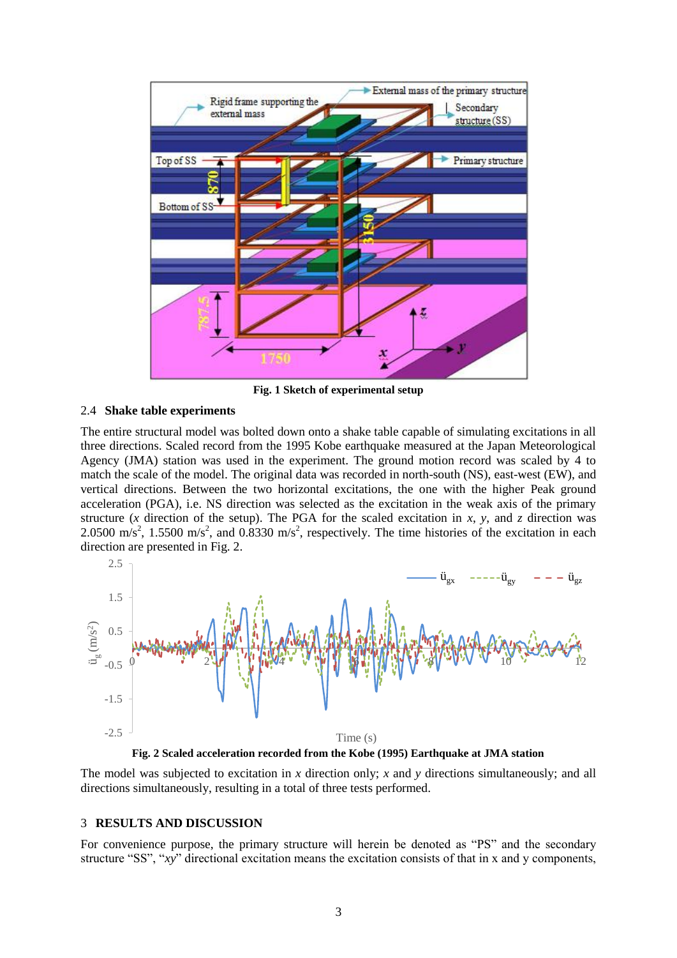

**Fig. 1 Sketch of experimental setup**

#### 2.4 **Shake table experiments**

The entire structural model was bolted down onto a shake table capable of simulating excitations in all three directions. Scaled record from the 1995 Kobe earthquake measured at the Japan Meteorological Agency (JMA) station was used in the experiment. The ground motion record was scaled by 4 to match the scale of the model. The original data was recorded in north-south (NS), east-west (EW), and vertical directions. Between the two horizontal excitations, the one with the higher Peak ground acceleration (PGA), i.e. NS direction was selected as the excitation in the weak axis of the primary structure (*x* direction of the setup). The PGA for the scaled excitation in *x*, *y*, and *z* direction was 2.0500 m/s<sup>2</sup>, 1.5500 m/s<sup>2</sup>, and 0.8330 m/s<sup>2</sup>, respectively. The time histories of the excitation in each direction are presented in Fig. 2.



**Fig. 2 Scaled acceleration recorded from the Kobe (1995) Earthquake at JMA station**

The model was subjected to excitation in *x* direction only; *x* and *y* directions simultaneously; and all directions simultaneously, resulting in a total of three tests performed.

#### 3 **RESULTS AND DISCUSSION**

For convenience purpose, the primary structure will herein be denoted as "PS" and the secondary structure "SS", "*xy*" directional excitation means the excitation consists of that in x and y components,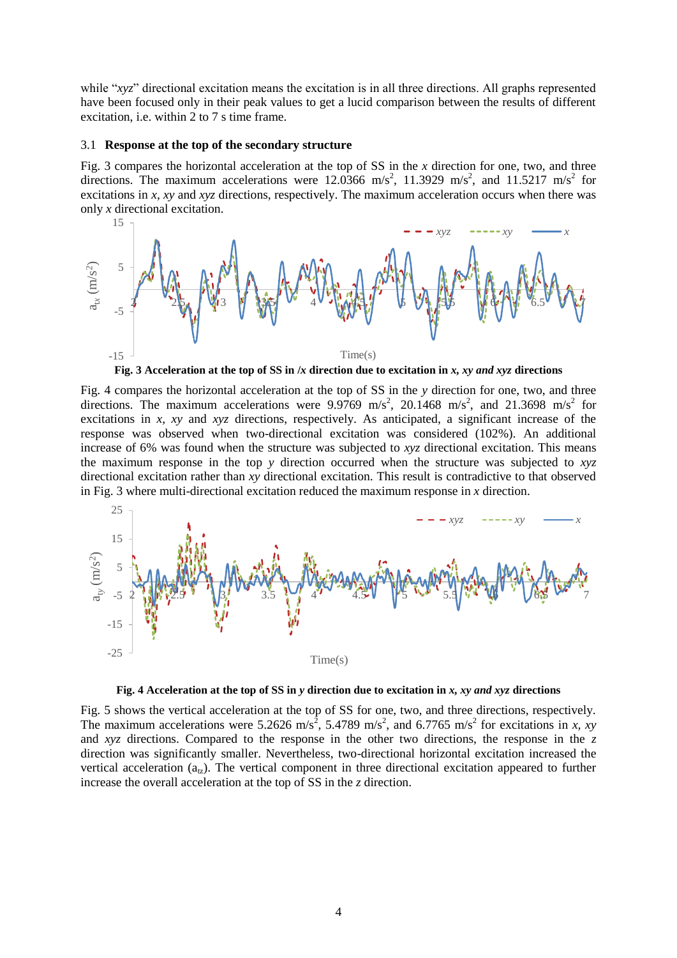while "*xyz*" directional excitation means the excitation is in all three directions. All graphs represented have been focused only in their peak values to get a lucid comparison between the results of different excitation, i.e. within 2 to 7 s time frame.

#### 3.1 **Response at the top of the secondary structure**

Fig. 3 compares the horizontal acceleration at the top of SS in the *x* direction for one, two, and three directions. The maximum accelerations were 12.0366 m/s<sup>2</sup>, 11.3929 m/s<sup>2</sup>, and 11.5217 m/s<sup>2</sup> for excitations in *x, xy* and *xyz* directions, respectively. The maximum acceleration occurs when there was only *x* directional excitation.



**Fig. 3 Acceleration at the top of SS in /***x* **direction due to excitation in** *x, xy and xyz* **directions**

Fig. 4 compares the horizontal acceleration at the top of SS in the *y* direction for one, two, and three directions. The maximum accelerations were 9.9769 m/s<sup>2</sup>, 20.1468 m/s<sup>2</sup>, and 21.3698 m/s<sup>2</sup> for excitations in *x, xy* and *xyz* directions, respectively. As anticipated, a significant increase of the response was observed when two-directional excitation was considered (102%). An additional increase of 6% was found when the structure was subjected to *xyz* directional excitation. This means the maximum response in the top *y* direction occurred when the structure was subjected to *xyz* directional excitation rather than *xy* directional excitation. This result is contradictive to that observed in Fig. 3 where multi-directional excitation reduced the maximum response in *x* direction.



**Fig. 4 Acceleration at the top of SS in** *y* **direction due to excitation in** *x, xy and xyz* **directions**

Fig. 5 shows the vertical acceleration at the top of SS for one, two, and three directions, respectively. The maximum accelerations were 5.2626 m/s<sup>2</sup>, 5.4789 m/s<sup>2</sup>, and 6.7765 m/s<sup>2</sup> for excitations in *x*, *xy* and *xyz* directions. Compared to the response in the other two directions, the response in the *z* direction was significantly smaller. Nevertheless, two-directional horizontal excitation increased the vertical acceleration  $(a_{17})$ . The vertical component in three directional excitation appeared to further increase the overall acceleration at the top of SS in the *z* direction.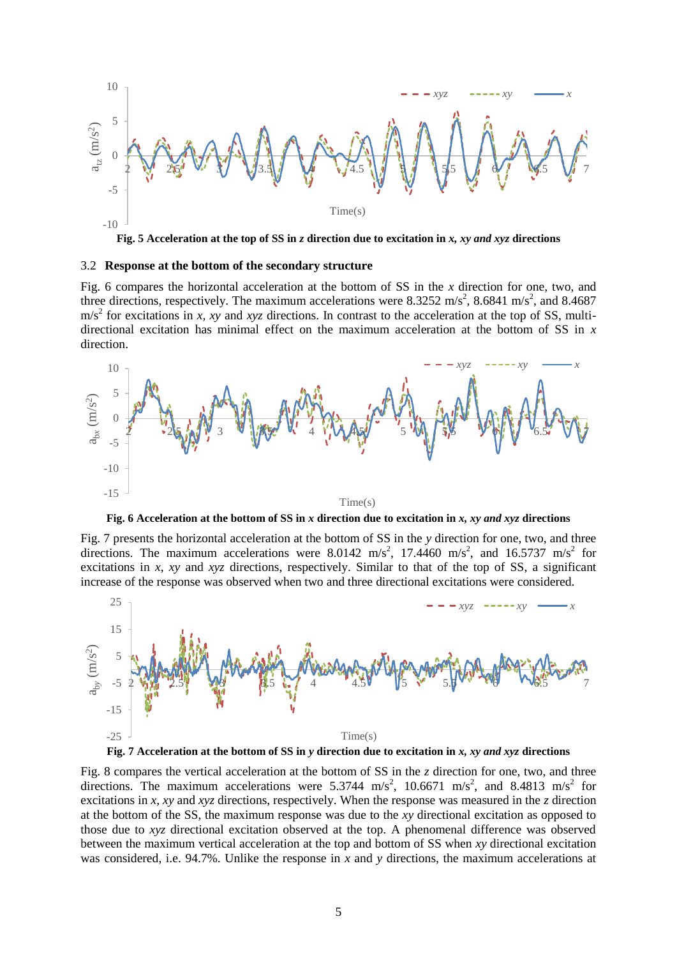

**Fig. 5 Acceleration at the top of SS in** *z* **direction due to excitation in** *x, xy and xyz* **directions**

#### 3.2 **Response at the bottom of the secondary structure**

Fig. 6 compares the horizontal acceleration at the bottom of SS in the *x* direction for one, two, and three directions, respectively. The maximum accelerations were 8.3252 m/s<sup>2</sup>, 8.6841 m/s<sup>2</sup>, and 8.4687 m/s<sup>2</sup> for excitations in *x, xy* and *xyz* directions. In contrast to the acceleration at the top of SS, multidirectional excitation has minimal effect on the maximum acceleration at the bottom of SS in *x* direction.



**Fig. 6 Acceleration at the bottom of SS in** *x* **direction due to excitation in** *x, xy and xyz* **directions**

Fig. 7 presents the horizontal acceleration at the bottom of SS in the *y* direction for one, two, and three directions. The maximum accelerations were 8.0142 m/s<sup>2</sup>, 17.4460 m/s<sup>2</sup>, and 16.5737 m/s<sup>2</sup> for excitations in *x, xy* and *xyz* directions, respectively. Similar to that of the top of SS, a significant increase of the response was observed when two and three directional excitations were considered.





Fig. 8 compares the vertical acceleration at the bottom of SS in the *z* direction for one, two, and three directions. The maximum accelerations were 5.3744 m/s<sup>2</sup>, 10.6671 m/s<sup>2</sup>, and 8.4813 m/s<sup>2</sup> for excitations in *x, xy* and *xyz* directions, respectively. When the response was measured in the *z* direction at the bottom of the SS, the maximum response was due to the *xy* directional excitation as opposed to those due to *xyz* directional excitation observed at the top. A phenomenal difference was observed between the maximum vertical acceleration at the top and bottom of SS when *xy* directional excitation was considered, i.e. 94.7%. Unlike the response in *x* and *y* directions, the maximum accelerations at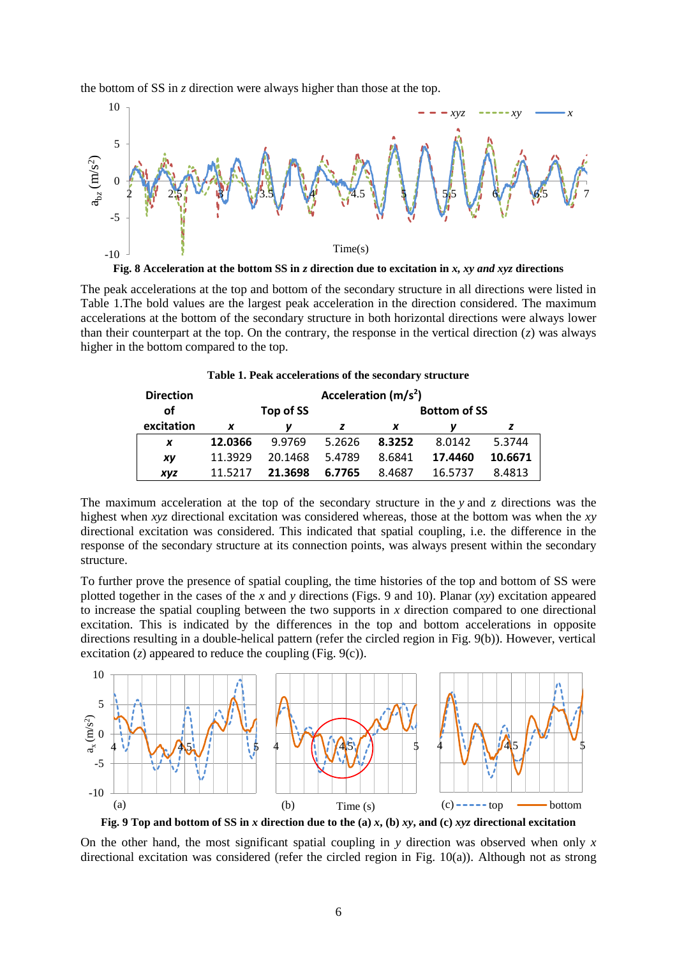the bottom of SS in *z* direction were always higher than those at the top.



**Fig. 8 Acceleration at the bottom SS in** *z* **direction due to excitation in** *x, xy and xyz* **directions**

The peak accelerations at the top and bottom of the secondary structure in all directions were listed in Table 1.The bold values are the largest peak acceleration in the direction considered. The maximum accelerations at the bottom of the secondary structure in both horizontal directions were always lower than their counterpart at the top. On the contrary, the response in the vertical direction (*z*) was always higher in the bottom compared to the top.

| <b>Direction</b> | Acceleration $(m/s^2)$ |         |        |                     |         |         |
|------------------|------------------------|---------|--------|---------------------|---------|---------|
| οf               | Top of SS              |         |        | <b>Bottom of SS</b> |         |         |
| excitation       | x                      |         |        | X                   |         |         |
| X                | 12.0366                | 9.9769  | 5.2626 | 8.3252              | 8.0142  | 5.3744  |
| xy               | 11.3929                | 20.1468 | 5.4789 | 8.6841              | 17.4460 | 10.6671 |
| <b>XVZ</b>       | 11.5217                | 21.3698 | 6.7765 | 8.4687              | 16.5737 | 8.4813  |

| Table 1. Peak accelerations of the secondary structure |  |  |  |
|--------------------------------------------------------|--|--|--|
|--------------------------------------------------------|--|--|--|

The maximum acceleration at the top of the secondary structure in the *y* and z directions was the highest when *xyz* directional excitation was considered whereas, those at the bottom was when the *xy* directional excitation was considered. This indicated that spatial coupling, i.e. the difference in the response of the secondary structure at its connection points, was always present within the secondary structure.

To further prove the presence of spatial coupling, the time histories of the top and bottom of SS were plotted together in the cases of the *x* and *y* directions (Figs. 9 and 10). Planar (*xy*) excitation appeared to increase the spatial coupling between the two supports in *x* direction compared to one directional excitation. This is indicated by the differences in the top and bottom accelerations in opposite directions resulting in a double-helical pattern (refer the circled region in Fig. 9(b)). However, vertical excitation  $(z)$  appeared to reduce the coupling (Fig. 9(c)).



**Fig. 9 Top and bottom of SS in** *x* **direction due to the (a)** *x***, (b)** *xy***, and (c)** *xyz* **directional excitation**

On the other hand, the most significant spatial coupling in *y* direction was observed when only *x* directional excitation was considered (refer the circled region in Fig. 10(a)). Although not as strong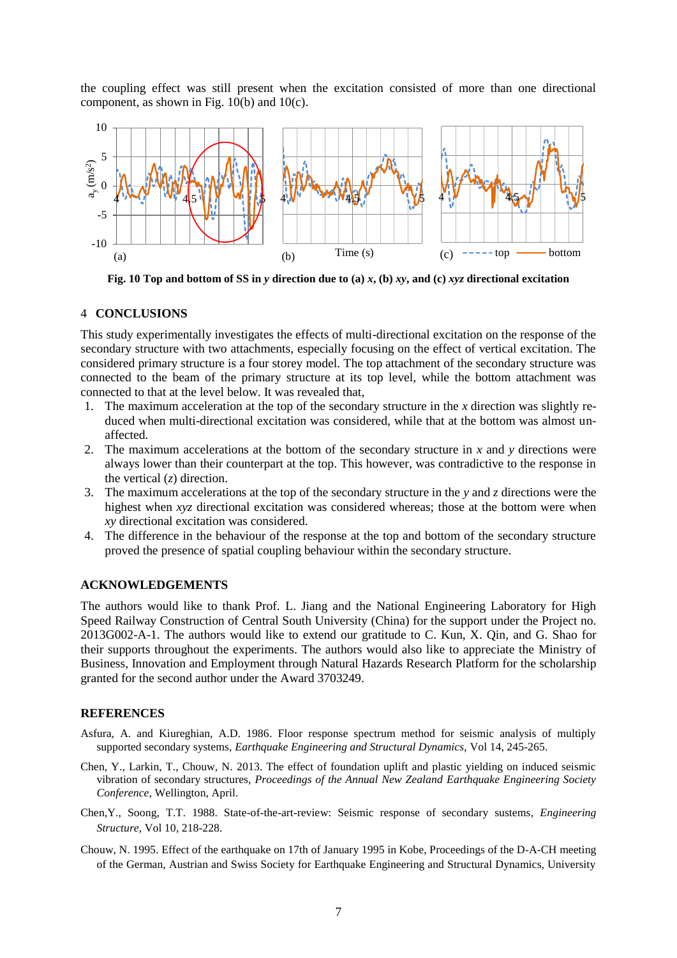the coupling effect was still present when the excitation consisted of more than one directional component, as shown in Fig. 10(b) and 10(c).



**Fig. 10 Top and bottom of SS in** *y* **direction due to (a)** *x***, (b)** *xy***, and (c)** *xyz* **directional excitation**

#### 4 **CONCLUSIONS**

This study experimentally investigates the effects of multi-directional excitation on the response of the secondary structure with two attachments, especially focusing on the effect of vertical excitation. The considered primary structure is a four storey model. The top attachment of the secondary structure was connected to the beam of the primary structure at its top level, while the bottom attachment was connected to that at the level below. It was revealed that,

- 1. The maximum acceleration at the top of the secondary structure in the *x* direction was slightly reduced when multi-directional excitation was considered, while that at the bottom was almost unaffected.
- 2. The maximum accelerations at the bottom of the secondary structure in *x* and *y* directions were always lower than their counterpart at the top. This however, was contradictive to the response in the vertical (*z*) direction.
- 3. The maximum accelerations at the top of the secondary structure in the *y* and *z* directions were the highest when *xyz* directional excitation was considered whereas; those at the bottom were when *xy* directional excitation was considered.
- 4. The difference in the behaviour of the response at the top and bottom of the secondary structure proved the presence of spatial coupling behaviour within the secondary structure.

### **ACKNOWLEDGEMENTS**

The authors would like to thank Prof. L. Jiang and the National Engineering Laboratory for High Speed Railway Construction of Central South University (China) for the support under the Project no. 2013G002-A-1. The authors would like to extend our gratitude to C. Kun, X. Qin, and G. Shao for their supports throughout the experiments. The authors would also like to appreciate the Ministry of Business, Innovation and Employment through Natural Hazards Research Platform for the scholarship granted for the second author under the Award 3703249.

#### **REFERENCES**

- Asfura, A. and Kiureghian, A.D. 1986. Floor response spectrum method for seismic analysis of multiply supported secondary systems, *Earthquake Engineering and Structural Dynamics,* Vol 14, 245-265.
- Chen, Y., Larkin, T., Chouw, N. 2013. The effect of foundation uplift and plastic yielding on induced seismic vibration of secondary structures, *Proceedings of the Annual New Zealand Earthquake Engineering Society Conference*, Wellington, April.
- Chen,Y., Soong, T.T. 1988. State-of-the-art-review: Seismic response of secondary sustems, *Engineering Structure*, Vol 10*,* 218-228.
- Chouw, N. 1995. Effect of the earthquake on 17th of January 1995 in Kobe, Proceedings of the D-A-CH meeting of the German, Austrian and Swiss Society for Earthquake Engineering and Structural Dynamics, University